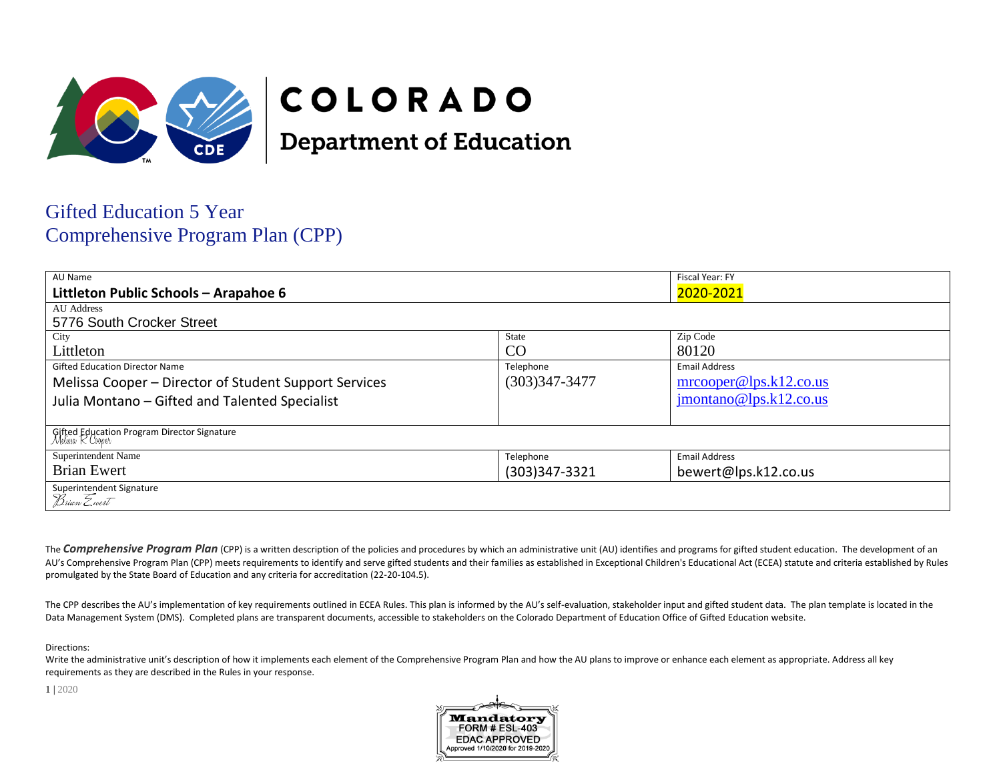

# COLORADO

**Department of Education** 

# **Gifted Education 5 Year Comprehensive Program Plan (CPP)**

| AU Name                                                         |                   | Fiscal Year: FY                   |
|-----------------------------------------------------------------|-------------------|-----------------------------------|
| Littleton Public Schools - Arapahoe 6                           |                   | 2020-2021                         |
| <b>AU Address</b>                                               |                   |                                   |
| 5776 South Crocker Street                                       |                   |                                   |
| City                                                            | <b>State</b>      | Zip Code                          |
| Littleton                                                       | CO                | 80120                             |
| <b>Gifted Education Director Name</b>                           | Telephone         | <b>Email Address</b>              |
| Melissa Cooper – Director of Student Support Services           | $(303)347 - 3477$ | $\text{mrooper@lps.k12.co.us}$    |
| Julia Montano - Gifted and Talented Specialist                  |                   | $\mathbf{imontano@lps.k12.co.us}$ |
| Gifted Education Program Director Signature<br>Melusso K Cooper |                   |                                   |
| Superintendent Name                                             | Telephone         | <b>Email Address</b>              |
| <b>Brian Ewert</b>                                              | (303)347-3321     | bewert@lps.k12.co.us              |
| Superintendent Signature<br>Brian Ewert                         |                   |                                   |

The Comprehensive Program Plan (CPP) is a written description of the policies and procedures by which an administrative unit (AU) identifies and programs for gifted student education. The development of an AU's Comprehensive Program Plan (CPP) meets requirements to identify and serve gifted students and their families as established in Exceptional Children's Educational Act (ECEA) statute and criteria established by Rules promulgated by the State Board of Education and any criteria for accreditation (22-20-104.5).

The CPP describes the AU's implementation of key requirements outlined in ECEA Rules. This plan is informed by the AU's self-evaluation, stakeholder input and gifted student data. The plan template is located in the Data Management System (DMS). Completed plans are transparent documents, accessible to stakeholders on the Colorado Department of Education Office of Gifted Education website.

Directions:

Write the administrative unit's description of how it implements each element of the Comprehensive Program Plan and how the AU plans to improve or enhance each element as appropriate. Address all key requirements as they are described in the Rules in your response.

 $1 | 2020$ 

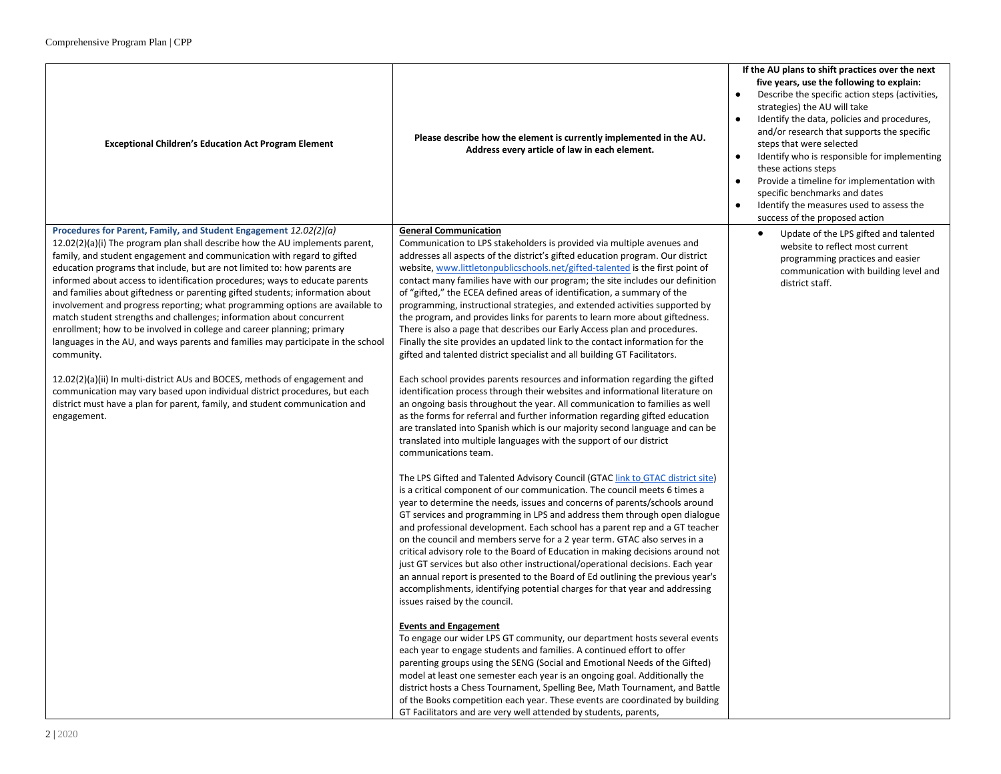| <b>Exceptional Children's Education Act Program Element</b>                                                                                                                                                                                                                                                                                                                                                                                                                                                                                                                                                                                                                                                                                                                                                                                                                                                                                                                                                                                                            | Please describe how the element is currently implemented in the AU.<br>Address every article of law in each element.                                                                                                                                                                                                                                                                                                                                                                                                                                                                                                                                                                                                                                                                                                                                                                                                                                                                                                                                                                                                                                                                                                                                                                                                                                                                                                                                                                                                                                                                                                                                                                                                                                                                                                                                                                                                                                                                                                                                                                                                                                                                                                                                                                                                                                                                                                                                                                                                                                                                                                                                                                                                                                                                                            | If the AU plans to shift practices over the next<br>five years, use the following to explain:<br>Describe the specific action steps (activities,<br>strategies) the AU will take<br>Identify the data, policies and procedures,<br>and/or research that supports the specific<br>steps that were selected<br>Identify who is responsible for implementing<br>$\bullet$<br>these actions steps<br>Provide a timeline for implementation with<br>specific benchmarks and dates<br>Identify the measures used to assess the<br>success of the proposed action |
|------------------------------------------------------------------------------------------------------------------------------------------------------------------------------------------------------------------------------------------------------------------------------------------------------------------------------------------------------------------------------------------------------------------------------------------------------------------------------------------------------------------------------------------------------------------------------------------------------------------------------------------------------------------------------------------------------------------------------------------------------------------------------------------------------------------------------------------------------------------------------------------------------------------------------------------------------------------------------------------------------------------------------------------------------------------------|-----------------------------------------------------------------------------------------------------------------------------------------------------------------------------------------------------------------------------------------------------------------------------------------------------------------------------------------------------------------------------------------------------------------------------------------------------------------------------------------------------------------------------------------------------------------------------------------------------------------------------------------------------------------------------------------------------------------------------------------------------------------------------------------------------------------------------------------------------------------------------------------------------------------------------------------------------------------------------------------------------------------------------------------------------------------------------------------------------------------------------------------------------------------------------------------------------------------------------------------------------------------------------------------------------------------------------------------------------------------------------------------------------------------------------------------------------------------------------------------------------------------------------------------------------------------------------------------------------------------------------------------------------------------------------------------------------------------------------------------------------------------------------------------------------------------------------------------------------------------------------------------------------------------------------------------------------------------------------------------------------------------------------------------------------------------------------------------------------------------------------------------------------------------------------------------------------------------------------------------------------------------------------------------------------------------------------------------------------------------------------------------------------------------------------------------------------------------------------------------------------------------------------------------------------------------------------------------------------------------------------------------------------------------------------------------------------------------------------------------------------------------------------------------------------------------|------------------------------------------------------------------------------------------------------------------------------------------------------------------------------------------------------------------------------------------------------------------------------------------------------------------------------------------------------------------------------------------------------------------------------------------------------------------------------------------------------------------------------------------------------------|
| Procedures for Parent, Family, and Student Engagement 12.02(2)(a)<br>12.02(2)(a)(i) The program plan shall describe how the AU implements parent,<br>family, and student engagement and communication with regard to gifted<br>education programs that include, but are not limited to: how parents are<br>informed about access to identification procedures; ways to educate parents<br>and families about giftedness or parenting gifted students; information about<br>involvement and progress reporting; what programming options are available to<br>match student strengths and challenges; information about concurrent<br>enrollment; how to be involved in college and career planning; primary<br>languages in the AU, and ways parents and families may participate in the school<br>community.<br>12.02(2)(a)(ii) In multi-district AUs and BOCES, methods of engagement and<br>communication may vary based upon individual district procedures, but each<br>district must have a plan for parent, family, and student communication and<br>engagement. | <b>General Communication</b><br>Communication to LPS stakeholders is provided via multiple avenues and<br>addresses all aspects of the district's gifted education program. Our district<br>website, www.littletonpublicschools.net/gifted-talented is the first point of<br>contact many families have with our program; the site includes our definition<br>of "gifted," the ECEA defined areas of identification, a summary of the<br>programming, instructional strategies, and extended activities supported by<br>the program, and provides links for parents to learn more about giftedness.<br>There is also a page that describes our Early Access plan and procedures.<br>Finally the site provides an updated link to the contact information for the<br>gifted and talented district specialist and all building GT Facilitators.<br>Each school provides parents resources and information regarding the gifted<br>identification process through their websites and informational literature on<br>an ongoing basis throughout the year. All communication to families as well<br>as the forms for referral and further information regarding gifted education<br>are translated into Spanish which is our majority second language and can be<br>translated into multiple languages with the support of our district<br>communications team.<br>The LPS Gifted and Talented Advisory Council (GTAC link to GTAC district site)<br>is a critical component of our communication. The council meets 6 times a<br>year to determine the needs, issues and concerns of parents/schools around<br>GT services and programming in LPS and address them through open dialogue<br>and professional development. Each school has a parent rep and a GT teacher<br>on the council and members serve for a 2 year term. GTAC also serves in a<br>critical advisory role to the Board of Education in making decisions around not<br>just GT services but also other instructional/operational decisions. Each year<br>an annual report is presented to the Board of Ed outlining the previous year's<br>accomplishments, identifying potential charges for that year and addressing<br>issues raised by the council.<br><b>Events and Engagement</b><br>To engage our wider LPS GT community, our department hosts several events<br>each year to engage students and families. A continued effort to offer<br>parenting groups using the SENG (Social and Emotional Needs of the Gifted)<br>model at least one semester each year is an ongoing goal. Additionally the<br>district hosts a Chess Tournament, Spelling Bee, Math Tournament, and Battle<br>of the Books competition each year. These events are coordinated by building<br>GT Facilitators and are very well attended by students, parents, | Update of the LPS gifted and talented<br>website to reflect most current<br>programming practices and easier<br>communication with building level and<br>district staff.                                                                                                                                                                                                                                                                                                                                                                                   |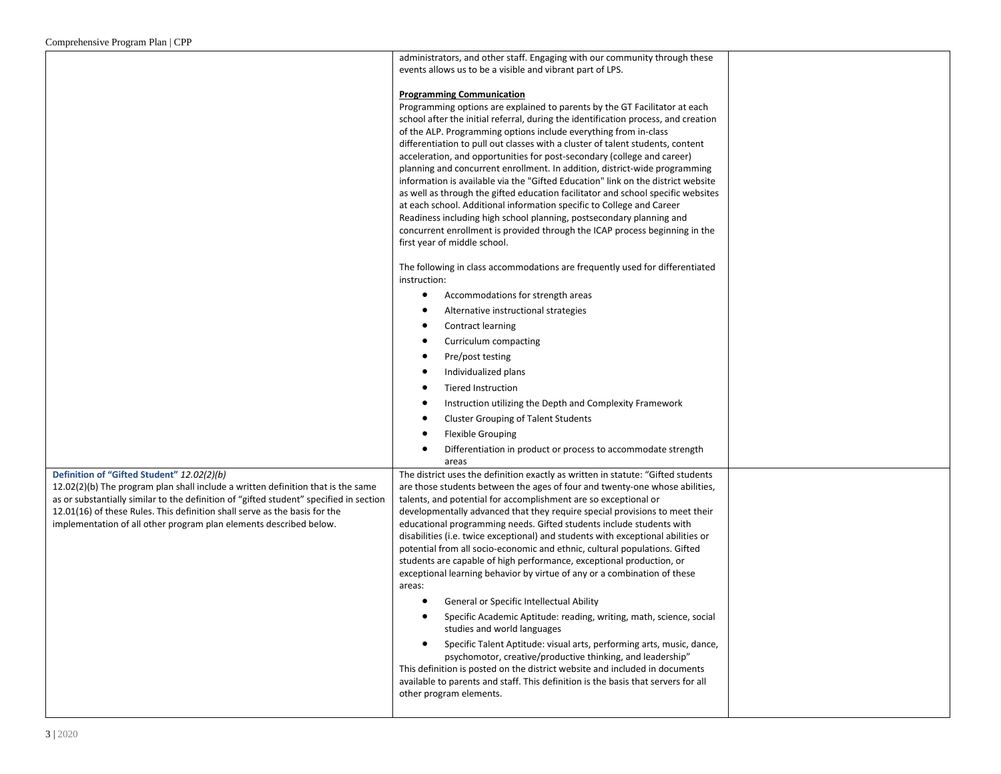| Comprenensive Frogram Fian   CFF                                                       |                                                                                                                                                                 |  |
|----------------------------------------------------------------------------------------|-----------------------------------------------------------------------------------------------------------------------------------------------------------------|--|
|                                                                                        | administrators, and other staff. Engaging with our community through these<br>events allows us to be a visible and vibrant part of LPS.                         |  |
|                                                                                        |                                                                                                                                                                 |  |
|                                                                                        | <b>Programming Communication</b>                                                                                                                                |  |
|                                                                                        | Programming options are explained to parents by the GT Facilitator at each                                                                                      |  |
|                                                                                        | school after the initial referral, during the identification process, and creation                                                                              |  |
|                                                                                        | of the ALP. Programming options include everything from in-class<br>differentiation to pull out classes with a cluster of talent students, content              |  |
|                                                                                        | acceleration, and opportunities for post-secondary (college and career)                                                                                         |  |
|                                                                                        | planning and concurrent enrollment. In addition, district-wide programming                                                                                      |  |
|                                                                                        | information is available via the "Gifted Education" link on the district website                                                                                |  |
|                                                                                        | as well as through the gifted education facilitator and school specific websites                                                                                |  |
|                                                                                        | at each school. Additional information specific to College and Career<br>Readiness including high school planning, postsecondary planning and                   |  |
|                                                                                        | concurrent enrollment is provided through the ICAP process beginning in the                                                                                     |  |
|                                                                                        | first year of middle school.                                                                                                                                    |  |
|                                                                                        |                                                                                                                                                                 |  |
|                                                                                        | The following in class accommodations are frequently used for differentiated<br>instruction:                                                                    |  |
|                                                                                        | Accommodations for strength areas<br>٠                                                                                                                          |  |
|                                                                                        | Alternative instructional strategies                                                                                                                            |  |
|                                                                                        | Contract learning                                                                                                                                               |  |
|                                                                                        | Curriculum compacting                                                                                                                                           |  |
|                                                                                        | Pre/post testing                                                                                                                                                |  |
|                                                                                        | Individualized plans                                                                                                                                            |  |
|                                                                                        | <b>Tiered Instruction</b>                                                                                                                                       |  |
|                                                                                        | Instruction utilizing the Depth and Complexity Framework<br>٠                                                                                                   |  |
|                                                                                        | <b>Cluster Grouping of Talent Students</b><br>٠                                                                                                                 |  |
|                                                                                        | <b>Flexible Grouping</b><br>٠                                                                                                                                   |  |
|                                                                                        | Differentiation in product or process to accommodate strength<br>٠                                                                                              |  |
| Definition of "Gifted Student" 12.02(2)(b)                                             | areas                                                                                                                                                           |  |
| 12.02(2)(b) The program plan shall include a written definition that is the same       | The district uses the definition exactly as written in statute: "Gifted students<br>are those students between the ages of four and twenty-one whose abilities, |  |
| as or substantially similar to the definition of "gifted student" specified in section | talents, and potential for accomplishment are so exceptional or                                                                                                 |  |
| 12.01(16) of these Rules. This definition shall serve as the basis for the             | developmentally advanced that they require special provisions to meet their                                                                                     |  |
| implementation of all other program plan elements described below.                     | educational programming needs. Gifted students include students with                                                                                            |  |
|                                                                                        | disabilities (i.e. twice exceptional) and students with exceptional abilities or<br>potential from all socio-economic and ethnic, cultural populations. Gifted  |  |
|                                                                                        | students are capable of high performance, exceptional production, or                                                                                            |  |
|                                                                                        | exceptional learning behavior by virtue of any or a combination of these                                                                                        |  |
|                                                                                        | areas:                                                                                                                                                          |  |
|                                                                                        | General or Specific Intellectual Ability<br>٠                                                                                                                   |  |
|                                                                                        | Specific Academic Aptitude: reading, writing, math, science, social<br>studies and world languages                                                              |  |
|                                                                                        | Specific Talent Aptitude: visual arts, performing arts, music, dance,<br>psychomotor, creative/productive thinking, and leadership"                             |  |
|                                                                                        | This definition is posted on the district website and included in documents                                                                                     |  |
|                                                                                        | available to parents and staff. This definition is the basis that servers for all                                                                               |  |
|                                                                                        | other program elements.                                                                                                                                         |  |
|                                                                                        |                                                                                                                                                                 |  |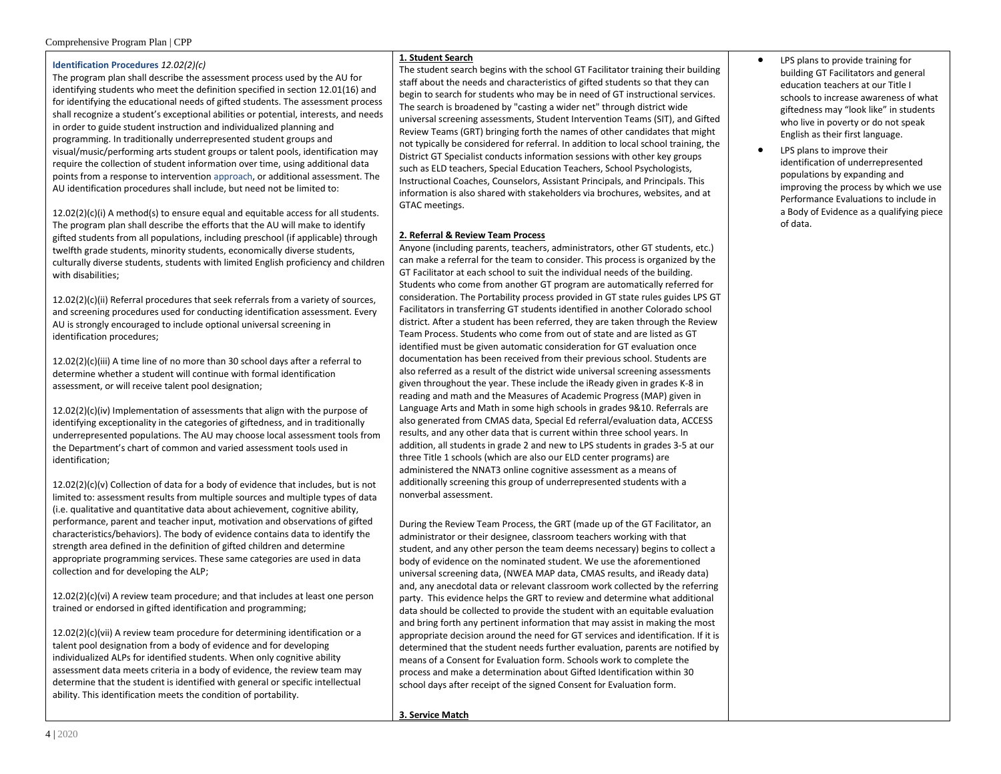#### Identification Procedures 12.02(2)(c)

The program plan shall describe the assessment process used by the AU for identifying students who meet the definition specified in section 12.01(16) and for identifying the educational needs of gifted students. The assessment process shall recognize a student's exceptional abilities or potential, interests, and needs in order to guide student instruction and individualized planning and programming. In traditionally underrepresented student groups and visual/music/performing arts student groups or talent pools, identification may require the collection of student information over time, using additional data points from a response to intervention approach, or additional assessment. The AU identification procedures shall include, but need not be limited to:

 $12.02(2)(c)(i)$  A method(s) to ensure equal and equitable access for all students. The program plan shall describe the efforts that the AU will make to identify gifted students from all populations, including preschool (if applicable) through twelfth grade students, minority students, economically diverse students, culturally diverse students, students with limited English proficiency and children with disabilities;

12.02(2)(c)(ii) Referral procedures that seek referrals from a variety of sources, and screening procedures used for conducting identification assessment. Every AU is strongly encouraged to include optional universal screening in identification procedures;

12.02(2)(c)(iii) A time line of no more than 30 school days after a referral to determine whether a student will continue with formal identification assessment, or will receive talent pool designation;

12.02(2)(c)(iv) Implementation of assessments that align with the purpose of identifying exceptionality in the categories of giftedness, and in traditionally underrepresented populations. The AU may choose local assessment tools from the Department's chart of common and varied assessment tools used in identification:

12.02(2)(c)(v) Collection of data for a body of evidence that includes, but is not limited to: assessment results from multiple sources and multiple types of data (i.e. qualitative and quantitative data about achievement, cognitive ability. performance, parent and teacher input, motivation and observations of gifted characteristics/behaviors). The body of evidence contains data to identify the strength area defined in the definition of gifted children and determine appropriate programming services. These same categories are used in data collection and for developing the ALP;

12.02(2)(c)(vi) A review team procedure; and that includes at least one person trained or endorsed in gifted identification and programming;

12.02(2)(c)(vii) A review team procedure for determining identification or a talent pool designation from a body of evidence and for developing individualized ALPs for identified students. When only cognitive ability assessment data meets criteria in a body of evidence, the review team may determine that the student is identified with general or specific intellectual ability. This identification meets the condition of portability.

#### 1. Student Search

The student search begins with the school GT Facilitator training their building staff about the needs and characteristics of gifted students so that they can begin to search for students who may be in need of GT instructional services. The search is broadened by "casting a wider net" through district wide universal screening assessments, Student Intervention Teams (SIT), and Gifted Review Teams (GRT) bringing forth the names of other candidates that might not typically be considered for referral. In addition to local school training, the District GT Specialist conducts information sessions with other key groups such as ELD teachers, Special Education Teachers, School Psychologists, Instructional Coaches, Counselors, Assistant Principals, and Principals. This information is also shared with stakeholders via brochures, websites, and at GTAC meetings.

### 2. Referral & Review Team Process

Anyone (including parents, teachers, administrators, other GT students, etc.) can make a referral for the team to consider. This process is organized by the GT Facilitator at each school to suit the individual needs of the building. Students who come from another GT program are automatically referred for consideration. The Portability process provided in GT state rules guides LPS GT Facilitators in transferring GT students identified in another Colorado school district. After a student has been referred, they are taken through the Review Team Process. Students who come from out of state and are listed as GT identified must be given automatic consideration for GT evaluation once documentation has been received from their previous school. Students are also referred as a result of the district wide universal screening assessments given throughout the year. These include the iReady given in grades K-8 in reading and math and the Measures of Academic Progress (MAP) given in Language Arts and Math in some high schools in grades 9&10. Referrals are also generated from CMAS data, Special Ed referral/evaluation data, ACCESS results, and any other data that is current within three school years. In addition, all students in grade 2 and new to LPS students in grades 3-5 at our three Title 1 schools (which are also our ELD center programs) are administered the NNAT3 online cognitive assessment as a means of additionally screening this group of underrepresented students with a nonverbal assessment.

During the Review Team Process, the GRT (made up of the GT Facilitator, an administrator or their designee, classroom teachers working with that student, and any other person the team deems necessary) begins to collect a body of evidence on the nominated student. We use the aforementioned universal screening data. (NWEA MAP data, CMAS results, and iReady data) and, any anecdotal data or relevant classroom work collected by the referring party. This evidence helps the GRT to review and determine what additional data should be collected to provide the student with an equitable evaluation and bring forth any pertinent information that may assist in making the most appropriate decision around the need for GT services and identification. If it is determined that the student needs further evaluation, parents are notified by means of a Consent for Evaluation form. Schools work to complete the process and make a determination about Gifted Identification within 30 school days after receipt of the signed Consent for Evaluation form.

- LPS plans to provide training for building GT Facilitators and general education teachers at our Title I schools to increase awareness of what giftedness may "look like" in students who live in poverty or do not speak English as their first language.
- LPS plans to improve their identification of underrepresented populations by expanding and improving the process by which we use Performance Evaluations to include in a Body of Evidence as a qualifying piece of data.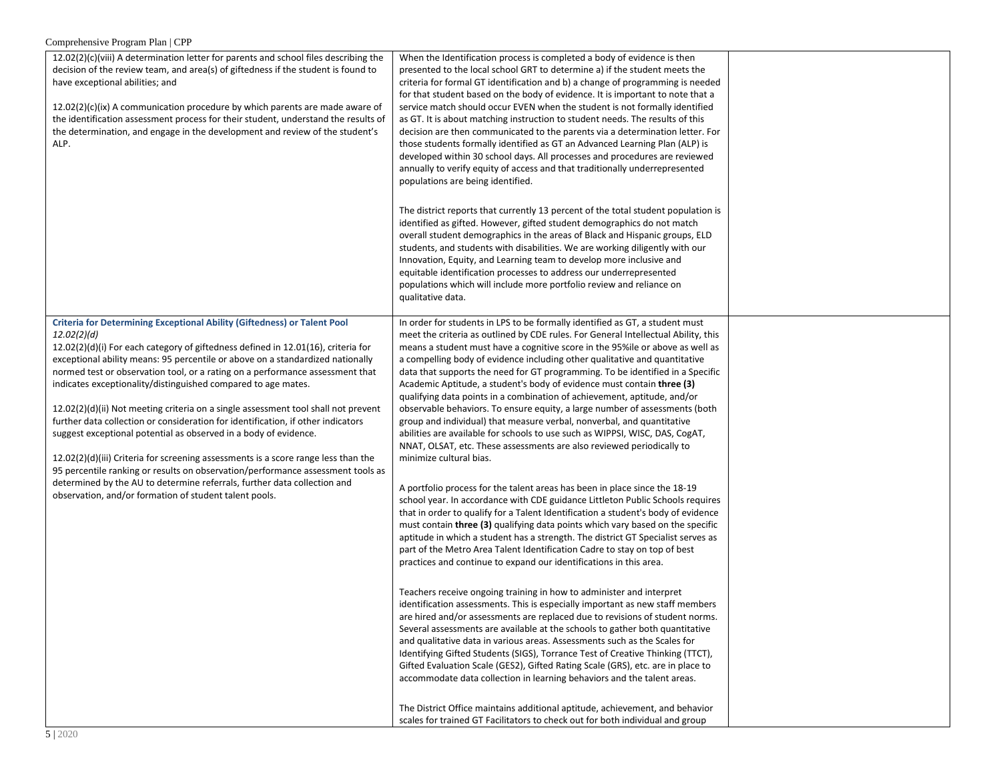| 12.02(2)(c)(viii) A determination letter for parents and school files describing the<br>decision of the review team, and area(s) of giftedness if the student is found to<br>have exceptional abilities; and<br>$12.02(2)(c)(ix)$ A communication procedure by which parents are made aware of<br>the identification assessment process for their student, understand the results of<br>the determination, and engage in the development and review of the student's<br>ALP.                                                                                                                                                                                                                                                                                                                                                                                                                                                                                                                | When the Identification process is completed a body of evidence is then<br>presented to the local school GRT to determine a) if the student meets the<br>criteria for formal GT identification and b) a change of programming is needed<br>for that student based on the body of evidence. It is important to note that a<br>service match should occur EVEN when the student is not formally identified<br>as GT. It is about matching instruction to student needs. The results of this<br>decision are then communicated to the parents via a determination letter. For<br>those students formally identified as GT an Advanced Learning Plan (ALP) is<br>developed within 30 school days. All processes and procedures are reviewed<br>annually to verify equity of access and that traditionally underrepresented<br>populations are being identified.                                                                                                                                                                                                                                                                                                                                                                                                                                                                                                                                                                                                                                                                                                                                                                                                                                                                                                                                                                                                                                                                                                                                                                                                                                                                                                |  |
|---------------------------------------------------------------------------------------------------------------------------------------------------------------------------------------------------------------------------------------------------------------------------------------------------------------------------------------------------------------------------------------------------------------------------------------------------------------------------------------------------------------------------------------------------------------------------------------------------------------------------------------------------------------------------------------------------------------------------------------------------------------------------------------------------------------------------------------------------------------------------------------------------------------------------------------------------------------------------------------------|------------------------------------------------------------------------------------------------------------------------------------------------------------------------------------------------------------------------------------------------------------------------------------------------------------------------------------------------------------------------------------------------------------------------------------------------------------------------------------------------------------------------------------------------------------------------------------------------------------------------------------------------------------------------------------------------------------------------------------------------------------------------------------------------------------------------------------------------------------------------------------------------------------------------------------------------------------------------------------------------------------------------------------------------------------------------------------------------------------------------------------------------------------------------------------------------------------------------------------------------------------------------------------------------------------------------------------------------------------------------------------------------------------------------------------------------------------------------------------------------------------------------------------------------------------------------------------------------------------------------------------------------------------------------------------------------------------------------------------------------------------------------------------------------------------------------------------------------------------------------------------------------------------------------------------------------------------------------------------------------------------------------------------------------------------------------------------------------------------------------------------------------------------|--|
|                                                                                                                                                                                                                                                                                                                                                                                                                                                                                                                                                                                                                                                                                                                                                                                                                                                                                                                                                                                             | The district reports that currently 13 percent of the total student population is<br>identified as gifted. However, gifted student demographics do not match<br>overall student demographics in the areas of Black and Hispanic groups, ELD<br>students, and students with disabilities. We are working diligently with our<br>Innovation, Equity, and Learning team to develop more inclusive and<br>equitable identification processes to address our underrepresented<br>populations which will include more portfolio review and reliance on<br>qualitative data.                                                                                                                                                                                                                                                                                                                                                                                                                                                                                                                                                                                                                                                                                                                                                                                                                                                                                                                                                                                                                                                                                                                                                                                                                                                                                                                                                                                                                                                                                                                                                                                      |  |
| <b>Criteria for Determining Exceptional Ability (Giftedness) or Talent Pool</b><br>12.02(2)(d)<br>$12.02(2)(d)(i)$ For each category of giftedness defined in $12.01(16)$ , criteria for<br>exceptional ability means: 95 percentile or above on a standardized nationally<br>normed test or observation tool, or a rating on a performance assessment that<br>indicates exceptionality/distinguished compared to age mates.<br>$12.02(2)(d)(ii)$ Not meeting criteria on a single assessment tool shall not prevent<br>further data collection or consideration for identification, if other indicators<br>suggest exceptional potential as observed in a body of evidence.<br>12.02(2)(d)(iii) Criteria for screening assessments is a score range less than the<br>95 percentile ranking or results on observation/performance assessment tools as<br>determined by the AU to determine referrals, further data collection and<br>observation, and/or formation of student talent pools. | In order for students in LPS to be formally identified as GT, a student must<br>meet the criteria as outlined by CDE rules. For General Intellectual Ability, this<br>means a student must have a cognitive score in the 95%ile or above as well as<br>a compelling body of evidence including other qualitative and quantitative<br>data that supports the need for GT programming. To be identified in a Specific<br>Academic Aptitude, a student's body of evidence must contain three (3)<br>qualifying data points in a combination of achievement, aptitude, and/or<br>observable behaviors. To ensure equity, a large number of assessments (both<br>group and individual) that measure verbal, nonverbal, and quantitative<br>abilities are available for schools to use such as WIPPSI, WISC, DAS, CogAT,<br>NNAT, OLSAT, etc. These assessments are also reviewed periodically to<br>minimize cultural bias.<br>A portfolio process for the talent areas has been in place since the 18-19<br>school year. In accordance with CDE guidance Littleton Public Schools requires<br>that in order to qualify for a Talent Identification a student's body of evidence<br>must contain three (3) qualifying data points which vary based on the specific<br>aptitude in which a student has a strength. The district GT Specialist serves as<br>part of the Metro Area Talent Identification Cadre to stay on top of best<br>practices and continue to expand our identifications in this area.<br>Teachers receive ongoing training in how to administer and interpret<br>identification assessments. This is especially important as new staff members<br>are hired and/or assessments are replaced due to revisions of student norms.<br>Several assessments are available at the schools to gather both quantitative<br>and qualitative data in various areas. Assessments such as the Scales for<br>Identifying Gifted Students (SIGS), Torrance Test of Creative Thinking (TTCT),<br>Gifted Evaluation Scale (GES2), Gifted Rating Scale (GRS), etc. are in place to<br>accommodate data collection in learning behaviors and the talent areas. |  |
|                                                                                                                                                                                                                                                                                                                                                                                                                                                                                                                                                                                                                                                                                                                                                                                                                                                                                                                                                                                             | The District Office maintains additional aptitude, achievement, and behavior<br>scales for trained GT Facilitators to check out for both individual and group                                                                                                                                                                                                                                                                                                                                                                                                                                                                                                                                                                                                                                                                                                                                                                                                                                                                                                                                                                                                                                                                                                                                                                                                                                                                                                                                                                                                                                                                                                                                                                                                                                                                                                                                                                                                                                                                                                                                                                                              |  |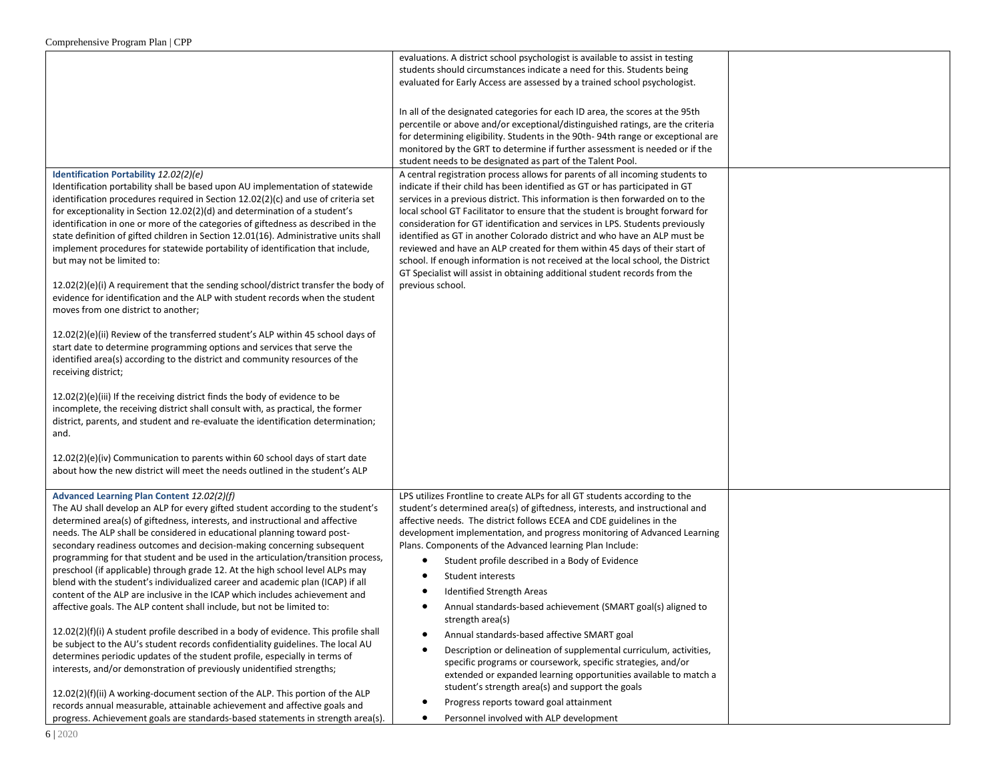|                                                                                                                                                                                                                                                                                                                                                                                                                                                                                                                                                                                                                                                                                                                                                                                                                                                                                                                                                                                                                                                                                | evaluations. A district school psychologist is available to assist in testing<br>students should circumstances indicate a need for this. Students being<br>evaluated for Early Access are assessed by a trained school psychologist.<br>In all of the designated categories for each ID area, the scores at the 95th<br>percentile or above and/or exceptional/distinguished ratings, are the criteria<br>for determining eligibility. Students in the 90th-94th range or exceptional are<br>monitored by the GRT to determine if further assessment is needed or if the<br>student needs to be designated as part of the Talent Pool.                                                                                                                         |  |
|--------------------------------------------------------------------------------------------------------------------------------------------------------------------------------------------------------------------------------------------------------------------------------------------------------------------------------------------------------------------------------------------------------------------------------------------------------------------------------------------------------------------------------------------------------------------------------------------------------------------------------------------------------------------------------------------------------------------------------------------------------------------------------------------------------------------------------------------------------------------------------------------------------------------------------------------------------------------------------------------------------------------------------------------------------------------------------|----------------------------------------------------------------------------------------------------------------------------------------------------------------------------------------------------------------------------------------------------------------------------------------------------------------------------------------------------------------------------------------------------------------------------------------------------------------------------------------------------------------------------------------------------------------------------------------------------------------------------------------------------------------------------------------------------------------------------------------------------------------|--|
| Identification Portability 12.02(2)(e)<br>Identification portability shall be based upon AU implementation of statewide<br>identification procedures required in Section 12.02(2)(c) and use of criteria set<br>for exceptionality in Section 12.02(2)(d) and determination of a student's<br>identification in one or more of the categories of giftedness as described in the<br>state definition of gifted children in Section 12.01(16). Administrative units shall<br>implement procedures for statewide portability of identification that include,<br>but may not be limited to:<br>$12.02(2)(e)(i)$ A requirement that the sending school/district transfer the body of<br>evidence for identification and the ALP with student records when the student<br>moves from one district to another;<br>$12.02(2)(e)(ii)$ Review of the transferred student's ALP within 45 school days of<br>start date to determine programming options and services that serve the<br>identified area(s) according to the district and community resources of the<br>receiving district; | A central registration process allows for parents of all incoming students to<br>indicate if their child has been identified as GT or has participated in GT<br>services in a previous district. This information is then forwarded on to the<br>local school GT Facilitator to ensure that the student is brought forward for<br>consideration for GT identification and services in LPS. Students previously<br>identified as GT in another Colorado district and who have an ALP must be<br>reviewed and have an ALP created for them within 45 days of their start of<br>school. If enough information is not received at the local school, the District<br>GT Specialist will assist in obtaining additional student records from the<br>previous school. |  |
| 12.02(2)(e)(iii) If the receiving district finds the body of evidence to be<br>incomplete, the receiving district shall consult with, as practical, the former<br>district, parents, and student and re-evaluate the identification determination;<br>and.<br>$12.02(2)(e)(iv)$ Communication to parents within 60 school days of start date<br>about how the new district will meet the needs outlined in the student's ALP                                                                                                                                                                                                                                                                                                                                                                                                                                                                                                                                                                                                                                                   |                                                                                                                                                                                                                                                                                                                                                                                                                                                                                                                                                                                                                                                                                                                                                                |  |
| Advanced Learning Plan Content 12.02(2)(f)                                                                                                                                                                                                                                                                                                                                                                                                                                                                                                                                                                                                                                                                                                                                                                                                                                                                                                                                                                                                                                     | LPS utilizes Frontline to create ALPs for all GT students according to the                                                                                                                                                                                                                                                                                                                                                                                                                                                                                                                                                                                                                                                                                     |  |
| The AU shall develop an ALP for every gifted student according to the student's<br>determined area(s) of giftedness, interests, and instructional and affective<br>needs. The ALP shall be considered in educational planning toward post-<br>secondary readiness outcomes and decision-making concerning subsequent<br>programming for that student and be used in the articulation/transition process,<br>preschool (if applicable) through grade 12. At the high school level ALPs may<br>blend with the student's individualized career and academic plan (ICAP) if all<br>content of the ALP are inclusive in the ICAP which includes achievement and<br>affective goals. The ALP content shall include, but not be limited to:                                                                                                                                                                                                                                                                                                                                           | student's determined area(s) of giftedness, interests, and instructional and<br>affective needs. The district follows ECEA and CDE guidelines in the<br>development implementation, and progress monitoring of Advanced Learning<br>Plans. Components of the Advanced learning Plan Include:<br>Student profile described in a Body of Evidence<br>$\bullet$<br>Student interests<br>٠<br>Identified Strength Areas<br>Annual standards-based achievement (SMART goal(s) aligned to<br>$\bullet$<br>strength area(s)                                                                                                                                                                                                                                           |  |
| 12.02(2)(f)(i) A student profile described in a body of evidence. This profile shall<br>be subject to the AU's student records confidentiality guidelines. The local AU<br>determines periodic updates of the student profile, especially in terms of<br>interests, and/or demonstration of previously unidentified strengths;<br>12.02(2)(f)(ii) A working-document section of the ALP. This portion of the ALP<br>records annual measurable, attainable achievement and affective goals and<br>progress. Achievement goals are standards-based statements in strength area(s).                                                                                                                                                                                                                                                                                                                                                                                                                                                                                               | Annual standards-based affective SMART goal<br>$\bullet$<br>Description or delineation of supplemental curriculum, activities,<br>٠<br>specific programs or coursework, specific strategies, and/or<br>extended or expanded learning opportunities available to match a<br>student's strength area(s) and support the goals<br>Progress reports toward goal attainment<br>Personnel involved with ALP development<br>٠                                                                                                                                                                                                                                                                                                                                         |  |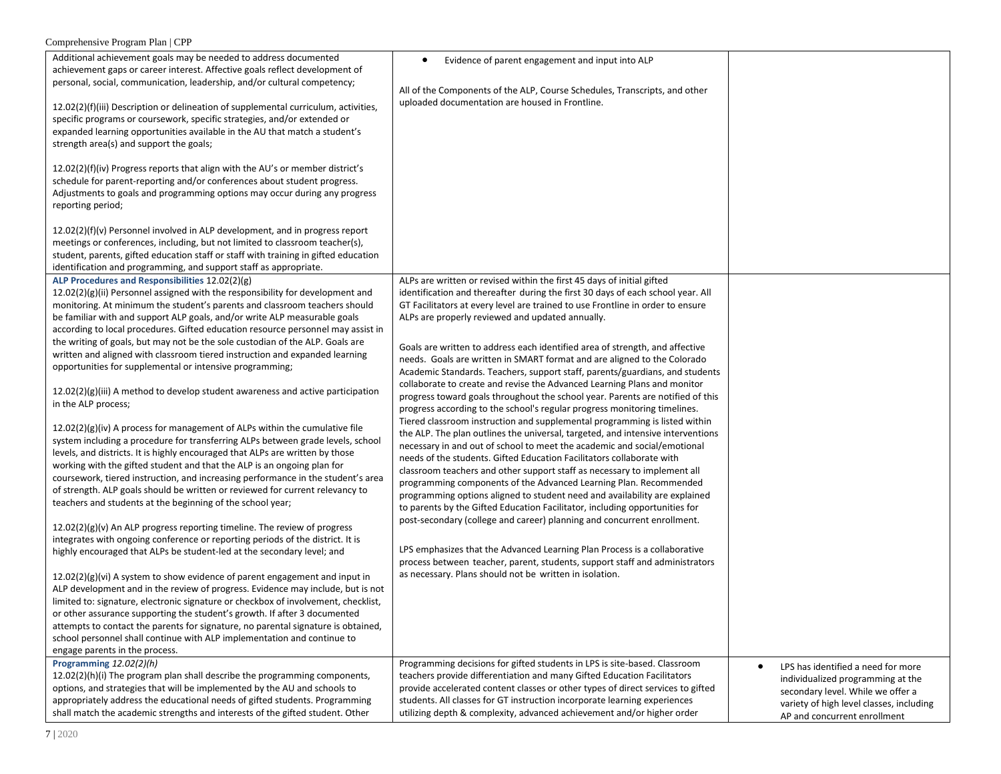| Additional achievement goals may be needed to address documented<br>achievement gaps or career interest. Affective goals reflect development of<br>personal, social, communication, leadership, and/or cultural competency;<br>12.02(2)(f)(iii) Description or delineation of supplemental curriculum, activities,<br>specific programs or coursework, specific strategies, and/or extended or<br>expanded learning opportunities available in the AU that match a student's<br>strength area(s) and support the goals;<br>12.02(2)(f)(iv) Progress reports that align with the AU's or member district's<br>schedule for parent-reporting and/or conferences about student progress.<br>Adjustments to goals and programming options may occur during any progress<br>reporting period;<br>12.02(2)(f)(v) Personnel involved in ALP development, and in progress report<br>meetings or conferences, including, but not limited to classroom teacher(s),                                                                                                                                                                                                                                                                                                                                                                                                                                                                                                                                                                                                                                                                                                                                                                                                                                                                                                                                                                                                                                                                                                                                             | $\bullet$<br>Evidence of parent engagement and input into ALP<br>All of the Components of the ALP, Course Schedules, Transcripts, and other<br>uploaded documentation are housed in Frontline.                                                                                                                                                                                                                                                                                                                                                                                                                                                                                                                                                                                                                                                                                                                                                                                                                                                                                                                                                                                                                                                                                                                                                                                                                                                                                                                                                                                                                                                                                                                                                                                                            |                                                                                                                                                                                                       |
|------------------------------------------------------------------------------------------------------------------------------------------------------------------------------------------------------------------------------------------------------------------------------------------------------------------------------------------------------------------------------------------------------------------------------------------------------------------------------------------------------------------------------------------------------------------------------------------------------------------------------------------------------------------------------------------------------------------------------------------------------------------------------------------------------------------------------------------------------------------------------------------------------------------------------------------------------------------------------------------------------------------------------------------------------------------------------------------------------------------------------------------------------------------------------------------------------------------------------------------------------------------------------------------------------------------------------------------------------------------------------------------------------------------------------------------------------------------------------------------------------------------------------------------------------------------------------------------------------------------------------------------------------------------------------------------------------------------------------------------------------------------------------------------------------------------------------------------------------------------------------------------------------------------------------------------------------------------------------------------------------------------------------------------------------------------------------------------------------|-----------------------------------------------------------------------------------------------------------------------------------------------------------------------------------------------------------------------------------------------------------------------------------------------------------------------------------------------------------------------------------------------------------------------------------------------------------------------------------------------------------------------------------------------------------------------------------------------------------------------------------------------------------------------------------------------------------------------------------------------------------------------------------------------------------------------------------------------------------------------------------------------------------------------------------------------------------------------------------------------------------------------------------------------------------------------------------------------------------------------------------------------------------------------------------------------------------------------------------------------------------------------------------------------------------------------------------------------------------------------------------------------------------------------------------------------------------------------------------------------------------------------------------------------------------------------------------------------------------------------------------------------------------------------------------------------------------------------------------------------------------------------------------------------------------|-------------------------------------------------------------------------------------------------------------------------------------------------------------------------------------------------------|
| student, parents, gifted education staff or staff with training in gifted education<br>identification and programming, and support staff as appropriate.                                                                                                                                                                                                                                                                                                                                                                                                                                                                                                                                                                                                                                                                                                                                                                                                                                                                                                                                                                                                                                                                                                                                                                                                                                                                                                                                                                                                                                                                                                                                                                                                                                                                                                                                                                                                                                                                                                                                             |                                                                                                                                                                                                                                                                                                                                                                                                                                                                                                                                                                                                                                                                                                                                                                                                                                                                                                                                                                                                                                                                                                                                                                                                                                                                                                                                                                                                                                                                                                                                                                                                                                                                                                                                                                                                           |                                                                                                                                                                                                       |
| ALP Procedures and Responsibilities 12.02(2)(g)<br>12.02(2)(g)(ii) Personnel assigned with the responsibility for development and<br>monitoring. At minimum the student's parents and classroom teachers should<br>be familiar with and support ALP goals, and/or write ALP measurable goals<br>according to local procedures. Gifted education resource personnel may assist in<br>the writing of goals, but may not be the sole custodian of the ALP. Goals are<br>written and aligned with classroom tiered instruction and expanded learning<br>opportunities for supplemental or intensive programming;<br>$12.02(2)(g)(iii)$ A method to develop student awareness and active participation<br>in the ALP process;<br>12.02(2)(g)(iv) A process for management of ALPs within the cumulative file<br>system including a procedure for transferring ALPs between grade levels, school<br>levels, and districts. It is highly encouraged that ALPs are written by those<br>working with the gifted student and that the ALP is an ongoing plan for<br>coursework, tiered instruction, and increasing performance in the student's area<br>of strength. ALP goals should be written or reviewed for current relevancy to<br>teachers and students at the beginning of the school year;<br>12.02(2)(g)(v) An ALP progress reporting timeline. The review of progress<br>integrates with ongoing conference or reporting periods of the district. It is<br>highly encouraged that ALPs be student-led at the secondary level; and<br>12.02(2)(g)(vi) A system to show evidence of parent engagement and input in<br>ALP development and in the review of progress. Evidence may include, but is not<br>limited to: signature, electronic signature or checkbox of involvement, checklist,<br>or other assurance supporting the student's growth. If after 3 documented<br>attempts to contact the parents for signature, no parental signature is obtained,<br>school personnel shall continue with ALP implementation and continue to<br>engage parents in the process.<br>Programming 12.02(2)(h) | ALPs are written or revised within the first 45 days of initial gifted<br>identification and thereafter during the first 30 days of each school year. All<br>GT Facilitators at every level are trained to use Frontline in order to ensure<br>ALPs are properly reviewed and updated annually.<br>Goals are written to address each identified area of strength, and affective<br>needs. Goals are written in SMART format and are aligned to the Colorado<br>Academic Standards. Teachers, support staff, parents/guardians, and students<br>collaborate to create and revise the Advanced Learning Plans and monitor<br>progress toward goals throughout the school year. Parents are notified of this<br>progress according to the school's regular progress monitoring timelines.<br>Tiered classroom instruction and supplemental programming is listed within<br>the ALP. The plan outlines the universal, targeted, and intensive interventions<br>necessary in and out of school to meet the academic and social/emotional<br>needs of the students. Gifted Education Facilitators collaborate with<br>classroom teachers and other support staff as necessary to implement all<br>programming components of the Advanced Learning Plan. Recommended<br>programming options aligned to student need and availability are explained<br>to parents by the Gifted Education Facilitator, including opportunities for<br>post-secondary (college and career) planning and concurrent enrollment.<br>LPS emphasizes that the Advanced Learning Plan Process is a collaborative<br>process between teacher, parent, students, support staff and administrators<br>as necessary. Plans should not be written in isolation.<br>Programming decisions for gifted students in LPS is site-based. Classroom |                                                                                                                                                                                                       |
| 12.02(2)(h)(i) The program plan shall describe the programming components,<br>options, and strategies that will be implemented by the AU and schools to<br>appropriately address the educational needs of gifted students. Programming<br>shall match the academic strengths and interests of the gifted student. Other                                                                                                                                                                                                                                                                                                                                                                                                                                                                                                                                                                                                                                                                                                                                                                                                                                                                                                                                                                                                                                                                                                                                                                                                                                                                                                                                                                                                                                                                                                                                                                                                                                                                                                                                                                              | teachers provide differentiation and many Gifted Education Facilitators<br>provide accelerated content classes or other types of direct services to gifted<br>students. All classes for GT instruction incorporate learning experiences<br>utilizing depth & complexity, advanced achievement and/or higher order                                                                                                                                                                                                                                                                                                                                                                                                                                                                                                                                                                                                                                                                                                                                                                                                                                                                                                                                                                                                                                                                                                                                                                                                                                                                                                                                                                                                                                                                                         | LPS has identified a need for more<br>$\bullet$<br>individualized programming at the<br>secondary level. While we offer a<br>variety of high level classes, including<br>AP and concurrent enrollment |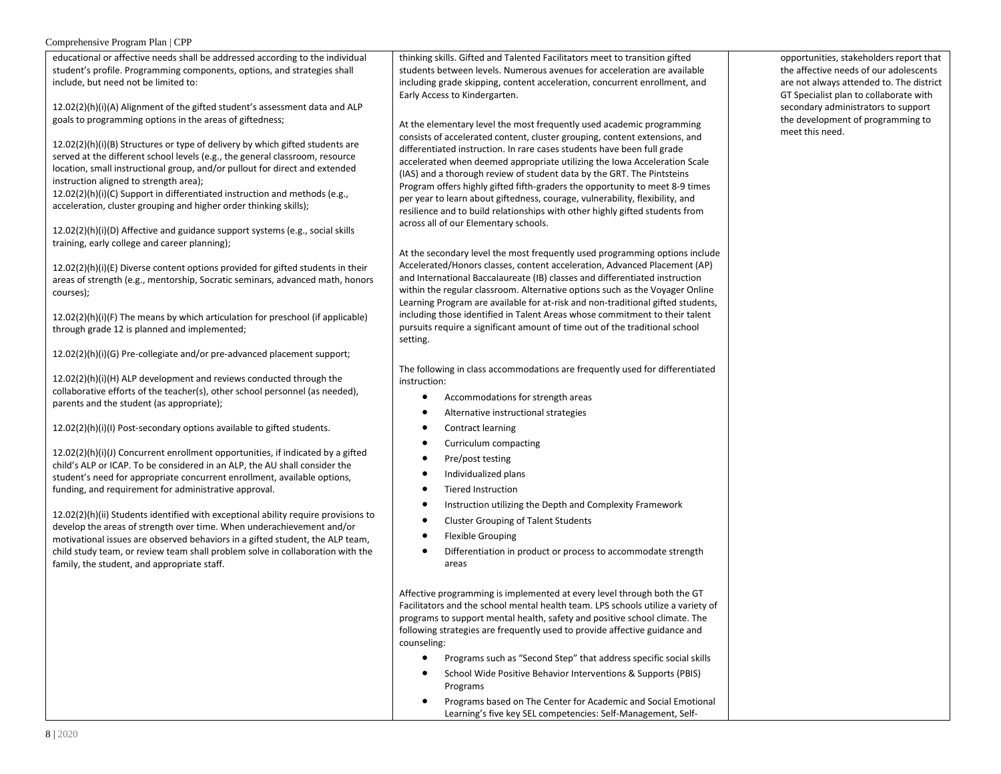educational or affective needs shall be addressed according to the individual student's profile. Programming components, options, and strategies shall include, but need not be limited to:

12.02(2)(h)(i)(A) Alignment of the gifted student's assessment data and ALP goals to programming options in the areas of giftedness;

12.02(2)(h)(i)(B) Structures or type of delivery by which gifted students are served at the different school levels (e.g., the general classroom, resource location, small instructional group, and/or pullout for direct and extended instruction aligned to strength area);

12.02(2)(h)(i)(C) Support in differentiated instruction and methods (e.g., acceleration, cluster grouping and higher order thinking skills);

12.02(2)(h)(i)(D) Affective and guidance support systems (e.g., social skills training, early college and career planning);

12.02(2)(h)(i)(E) Diverse content options provided for gifted students in their areas of strength (e.g., mentorship, Socratic seminars, advanced math, honors courses);

12.02(2)(h)(i)(F) The means by which articulation for preschool (if applicable) through grade 12 is planned and implemented;

12.02(2)(h)(i)(G) Pre-collegiate and/or pre-advanced placement support;

12.02(2)(h)(i)(H) ALP development and reviews conducted through the collaborative efforts of the teacher(s), other school personnel (as needed), parents and the student (as appropriate);

12.02(2)(h)(i)(l) Post-secondary options available to gifted students.

12.02(2)(h)(i)(J) Concurrent enrollment opportunities, if indicated by a gifted child's ALP or ICAP. To be considered in an ALP, the AU shall consider the student's need for appropriate concurrent enrollment, available options, funding, and requirement for administrative approval.

12.02(2)(h)(ii) Students identified with exceptional ability require provisions to develop the areas of strength over time. When underachievement and/or motivational issues are observed behaviors in a gifted student, the ALP team, child study team, or review team shall problem solve in collaboration with the family, the student, and appropriate staff.

thinking skills. Gifted and Talented Facilitators meet to transition gifted students between levels. Numerous avenues for acceleration are available including grade skipping, content acceleration, concurrent enrollment, and Early Access to Kindergarten.

At the elementary level the most frequently used academic programming consists of accelerated content, cluster grouping, content extensions, and differentiated instruction. In rare cases students have been full grade accelerated when deemed appropriate utilizing the Iowa Acceleration Scale (IAS) and a thorough review of student data by the GRT. The Pintsteins Program offers highly gifted fifth-graders the opportunity to meet 8-9 times per year to learn about giftedness, courage, vulnerability, flexibility, and resilience and to build relationships with other highly gifted students from across all of our Elementary schools.

At the secondary level the most frequently used programming options include Accelerated/Honors classes, content acceleration, Advanced Placement (AP) and International Baccalaureate (IB) classes and differentiated instruction within the regular classroom. Alternative options such as the Voyager Online Learning Program are available for at-risk and non-traditional gifted students, including those identified in Talent Areas whose commitment to their talent pursuits require a significant amount of time out of the traditional school setting.

The following in class accommodations are frequently used for differentiated instruction:

- $\bullet$ Accommodations for strength areas
- $\bullet$ Alternative instructional strategies
- $\bullet$ Contract learning
- $\bullet$ Curriculum compacting
- $\bullet$ Pre/post testing
- $\bullet$ Individualized plans
- **Tiered Instruction**  $\bullet$
- $\bullet$ Instruction utilizing the Depth and Complexity Framework
- $\bullet$ **Cluster Grouping of Talent Students**
- $\bullet$ **Flexible Grouping**
- $\bullet$ Differentiation in product or process to accommodate strength areas

Affective programming is implemented at every level through both the GT Facilitators and the school mental health team. LPS schools utilize a variety of programs to support mental health, safety and positive school climate. The following strategies are frequently used to provide affective guidance and counseling:

- $\bullet$ Programs such as "Second Step" that address specific social skills
- School Wide Positive Behavior Interventions & Supports (PBIS)  $\bullet$ Programs
- $\bullet$ Programs based on The Center for Academic and Social Emotional Learning's five key SEL competencies: Self-Management, Self-

opportunities, stakeholders report that the affective needs of our adolescents are not always attended to. The district GT Specialist plan to collaborate with secondary administrators to support the development of programming to meet this need.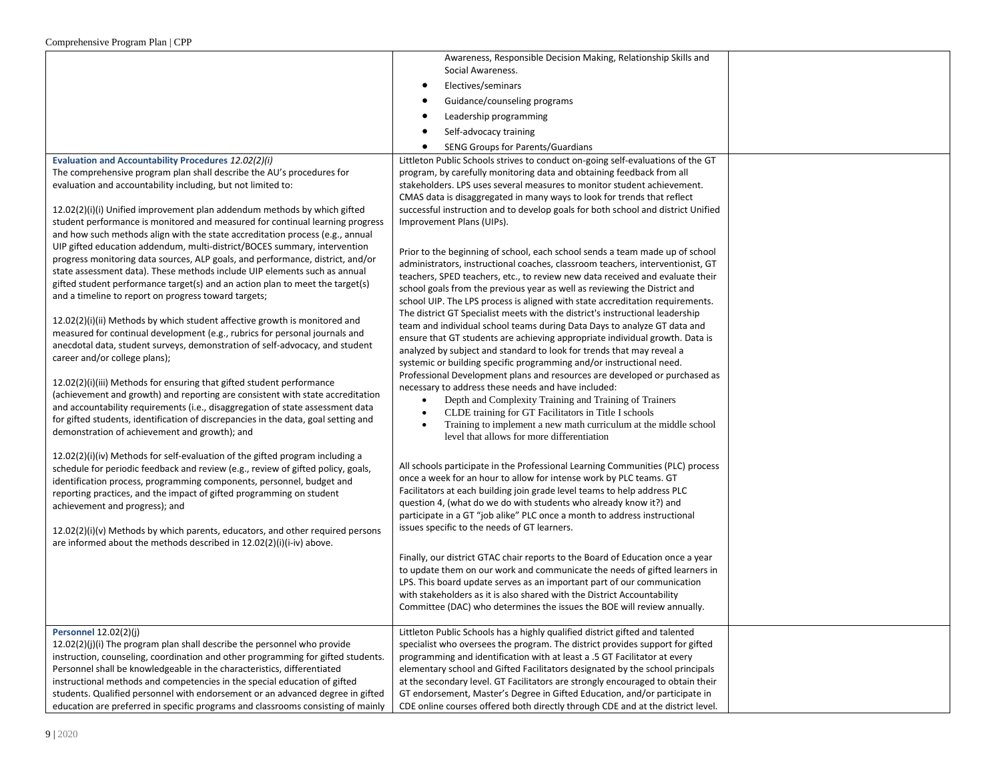|                                                                                                                                                              | Awareness, Responsible Decision Making, Relationship Skills and                                                                                                 |  |
|--------------------------------------------------------------------------------------------------------------------------------------------------------------|-----------------------------------------------------------------------------------------------------------------------------------------------------------------|--|
|                                                                                                                                                              | Social Awareness.                                                                                                                                               |  |
|                                                                                                                                                              | Electives/seminars<br>$\bullet$                                                                                                                                 |  |
|                                                                                                                                                              | Guidance/counseling programs                                                                                                                                    |  |
|                                                                                                                                                              | Leadership programming<br>٠                                                                                                                                     |  |
|                                                                                                                                                              | Self-advocacy training<br>٠                                                                                                                                     |  |
|                                                                                                                                                              | SENG Groups for Parents/Guardians<br>$\bullet$                                                                                                                  |  |
| Evaluation and Accountability Procedures 12.02(2)(i)                                                                                                         | Littleton Public Schools strives to conduct on-going self-evaluations of the GT                                                                                 |  |
| The comprehensive program plan shall describe the AU's procedures for                                                                                        | program, by carefully monitoring data and obtaining feedback from all                                                                                           |  |
| evaluation and accountability including, but not limited to:                                                                                                 | stakeholders. LPS uses several measures to monitor student achievement.                                                                                         |  |
|                                                                                                                                                              | CMAS data is disaggregated in many ways to look for trends that reflect                                                                                         |  |
| 12.02(2)(i)(i) Unified improvement plan addendum methods by which gifted<br>student performance is monitored and measured for continual learning progress    | successful instruction and to develop goals for both school and district Unified<br>Improvement Plans (UIPs).                                                   |  |
| and how such methods align with the state accreditation process (e.g., annual                                                                                |                                                                                                                                                                 |  |
| UIP gifted education addendum, multi-district/BOCES summary, intervention                                                                                    |                                                                                                                                                                 |  |
| progress monitoring data sources, ALP goals, and performance, district, and/or                                                                               | Prior to the beginning of school, each school sends a team made up of school                                                                                    |  |
| state assessment data). These methods include UIP elements such as annual                                                                                    | administrators, instructional coaches, classroom teachers, interventionist, GT<br>teachers, SPED teachers, etc., to review new data received and evaluate their |  |
| gifted student performance target(s) and an action plan to meet the target(s)                                                                                | school goals from the previous year as well as reviewing the District and                                                                                       |  |
| and a timeline to report on progress toward targets;                                                                                                         | school UIP. The LPS process is aligned with state accreditation requirements.                                                                                   |  |
|                                                                                                                                                              | The district GT Specialist meets with the district's instructional leadership                                                                                   |  |
| 12.02(2)(i)(ii) Methods by which student affective growth is monitored and<br>measured for continual development (e.g., rubrics for personal journals and    | team and individual school teams during Data Days to analyze GT data and                                                                                        |  |
| anecdotal data, student surveys, demonstration of self-advocacy, and student                                                                                 | ensure that GT students are achieving appropriate individual growth. Data is                                                                                    |  |
| career and/or college plans);                                                                                                                                | analyzed by subject and standard to look for trends that may reveal a                                                                                           |  |
|                                                                                                                                                              | systemic or building specific programming and/or instructional need.<br>Professional Development plans and resources are developed or purchased as              |  |
| 12.02(2)(i)(iii) Methods for ensuring that gifted student performance                                                                                        | necessary to address these needs and have included:                                                                                                             |  |
| (achievement and growth) and reporting are consistent with state accreditation                                                                               | Depth and Complexity Training and Training of Trainers<br>$\bullet$                                                                                             |  |
| and accountability requirements (i.e., disaggregation of state assessment data                                                                               | CLDE training for GT Facilitators in Title I schools                                                                                                            |  |
| for gifted students, identification of discrepancies in the data, goal setting and                                                                           | Training to implement a new math curriculum at the middle school<br>$\bullet$                                                                                   |  |
| demonstration of achievement and growth); and                                                                                                                | level that allows for more differentiation                                                                                                                      |  |
| 12.02(2)(i)(iv) Methods for self-evaluation of the gifted program including a                                                                                |                                                                                                                                                                 |  |
| schedule for periodic feedback and review (e.g., review of gifted policy, goals,                                                                             | All schools participate in the Professional Learning Communities (PLC) process                                                                                  |  |
| identification process, programming components, personnel, budget and                                                                                        | once a week for an hour to allow for intense work by PLC teams. GT                                                                                              |  |
| reporting practices, and the impact of gifted programming on student                                                                                         | Facilitators at each building join grade level teams to help address PLC                                                                                        |  |
| achievement and progress); and                                                                                                                               | question 4, (what do we do with students who already know it?) and<br>participate in a GT "job alike" PLC once a month to address instructional                 |  |
|                                                                                                                                                              | issues specific to the needs of GT learners.                                                                                                                    |  |
| 12.02(2)(i)(v) Methods by which parents, educators, and other required persons<br>are informed about the methods described in 12.02(2)(i)(i-iv) above.       |                                                                                                                                                                 |  |
|                                                                                                                                                              | Finally, our district GTAC chair reports to the Board of Education once a year                                                                                  |  |
|                                                                                                                                                              | to update them on our work and communicate the needs of gifted learners in                                                                                      |  |
|                                                                                                                                                              | LPS. This board update serves as an important part of our communication                                                                                         |  |
|                                                                                                                                                              | with stakeholders as it is also shared with the District Accountability                                                                                         |  |
|                                                                                                                                                              | Committee (DAC) who determines the issues the BOE will review annually.                                                                                         |  |
|                                                                                                                                                              |                                                                                                                                                                 |  |
| Personnel 12.02(2)(j)                                                                                                                                        | Littleton Public Schools has a highly qualified district gifted and talented                                                                                    |  |
| 12.02(2)(j)(i) The program plan shall describe the personnel who provide<br>instruction, counseling, coordination and other programming for gifted students. | specialist who oversees the program. The district provides support for gifted<br>programming and identification with at least a .5 GT Facilitator at every      |  |
| Personnel shall be knowledgeable in the characteristics, differentiated                                                                                      | elementary school and Gifted Facilitators designated by the school principals                                                                                   |  |
| instructional methods and competencies in the special education of gifted                                                                                    | at the secondary level. GT Facilitators are strongly encouraged to obtain their                                                                                 |  |
| students. Qualified personnel with endorsement or an advanced degree in gifted                                                                               | GT endorsement, Master's Degree in Gifted Education, and/or participate in                                                                                      |  |
| education are preferred in specific programs and classrooms consisting of mainly                                                                             | CDE online courses offered both directly through CDE and at the district level.                                                                                 |  |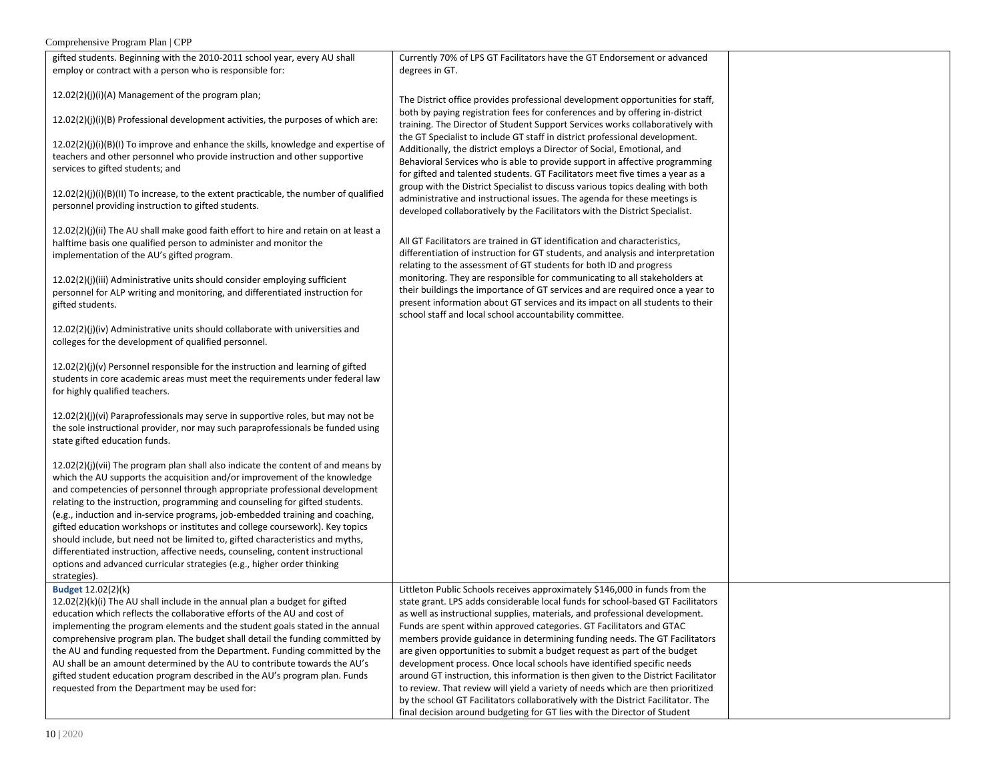| gifted students. Beginning with the 2010-2011 school year, every AU shall               | Currently 70% of LPS GT Facilitators have the GT Endorsement or advanced          |  |
|-----------------------------------------------------------------------------------------|-----------------------------------------------------------------------------------|--|
| employ or contract with a person who is responsible for:                                | degrees in GT.                                                                    |  |
|                                                                                         |                                                                                   |  |
| 12.02(2)(j)(i)(A) Management of the program plan;                                       |                                                                                   |  |
|                                                                                         | The District office provides professional development opportunities for staff,    |  |
| 12.02(2)(j)(i)(B) Professional development activities, the purposes of which are:       | both by paying registration fees for conferences and by offering in-district      |  |
|                                                                                         | training. The Director of Student Support Services works collaboratively with     |  |
| $12.02(2)(j)(i)(B)(l)$ To improve and enhance the skills, knowledge and expertise of    | the GT Specialist to include GT staff in district professional development.       |  |
| teachers and other personnel who provide instruction and other supportive               | Additionally, the district employs a Director of Social, Emotional, and           |  |
| services to gifted students; and                                                        | Behavioral Services who is able to provide support in affective programming       |  |
|                                                                                         | for gifted and talented students. GT Facilitators meet five times a year as a     |  |
| $12.02(2)(j)(i)(B)(11)$ To increase, to the extent practicable, the number of qualified | group with the District Specialist to discuss various topics dealing with both    |  |
| personnel providing instruction to gifted students.                                     | administrative and instructional issues. The agenda for these meetings is         |  |
|                                                                                         | developed collaboratively by the Facilitators with the District Specialist.       |  |
| $12.02(2)(j)(ii)$ The AU shall make good faith effort to hire and retain on at least a  |                                                                                   |  |
| halftime basis one qualified person to administer and monitor the                       | All GT Facilitators are trained in GT identification and characteristics,         |  |
| implementation of the AU's gifted program.                                              | differentiation of instruction for GT students, and analysis and interpretation   |  |
|                                                                                         | relating to the assessment of GT students for both ID and progress                |  |
| 12.02(2)(j)(iii) Administrative units should consider employing sufficient              | monitoring. They are responsible for communicating to all stakeholders at         |  |
| personnel for ALP writing and monitoring, and differentiated instruction for            | their buildings the importance of GT services and are required once a year to     |  |
| gifted students.                                                                        | present information about GT services and its impact on all students to their     |  |
|                                                                                         | school staff and local school accountability committee.                           |  |
| 12.02(2)(j)(iv) Administrative units should collaborate with universities and           |                                                                                   |  |
| colleges for the development of qualified personnel.                                    |                                                                                   |  |
|                                                                                         |                                                                                   |  |
| 12.02(2)(j)(v) Personnel responsible for the instruction and learning of gifted         |                                                                                   |  |
| students in core academic areas must meet the requirements under federal law            |                                                                                   |  |
| for highly qualified teachers.                                                          |                                                                                   |  |
|                                                                                         |                                                                                   |  |
| 12.02(2)(j)(vi) Paraprofessionals may serve in supportive roles, but may not be         |                                                                                   |  |
| the sole instructional provider, nor may such paraprofessionals be funded using         |                                                                                   |  |
| state gifted education funds.                                                           |                                                                                   |  |
|                                                                                         |                                                                                   |  |
| 12.02(2)(j)(vii) The program plan shall also indicate the content of and means by       |                                                                                   |  |
| which the AU supports the acquisition and/or improvement of the knowledge               |                                                                                   |  |
| and competencies of personnel through appropriate professional development              |                                                                                   |  |
| relating to the instruction, programming and counseling for gifted students.            |                                                                                   |  |
| (e.g., induction and in-service programs, job-embedded training and coaching,           |                                                                                   |  |
| gifted education workshops or institutes and college coursework). Key topics            |                                                                                   |  |
| should include, but need not be limited to, gifted characteristics and myths,           |                                                                                   |  |
| differentiated instruction, affective needs, counseling, content instructional          |                                                                                   |  |
| options and advanced curricular strategies (e.g., higher order thinking                 |                                                                                   |  |
| strategies).                                                                            |                                                                                   |  |
| Budget 12.02(2)(k)                                                                      | Littleton Public Schools receives approximately \$146,000 in funds from the       |  |
| $12.02(2)(k)(i)$ The AU shall include in the annual plan a budget for gifted            | state grant. LPS adds considerable local funds for school-based GT Facilitators   |  |
| education which reflects the collaborative efforts of the AU and cost of                | as well as instructional supplies, materials, and professional development.       |  |
| implementing the program elements and the student goals stated in the annual            | Funds are spent within approved categories. GT Facilitators and GTAC              |  |
| comprehensive program plan. The budget shall detail the funding committed by            | members provide guidance in determining funding needs. The GT Facilitators        |  |
| the AU and funding requested from the Department. Funding committed by the              | are given opportunities to submit a budget request as part of the budget          |  |
| AU shall be an amount determined by the AU to contribute towards the AU's               | development process. Once local schools have identified specific needs            |  |
| gifted student education program described in the AU's program plan. Funds              | around GT instruction, this information is then given to the District Facilitator |  |
| requested from the Department may be used for:                                          | to review. That review will yield a variety of needs which are then prioritized   |  |
|                                                                                         | by the school GT Facilitators collaboratively with the District Facilitator. The  |  |
|                                                                                         | final decision around budgeting for GT lies with the Director of Student          |  |
|                                                                                         |                                                                                   |  |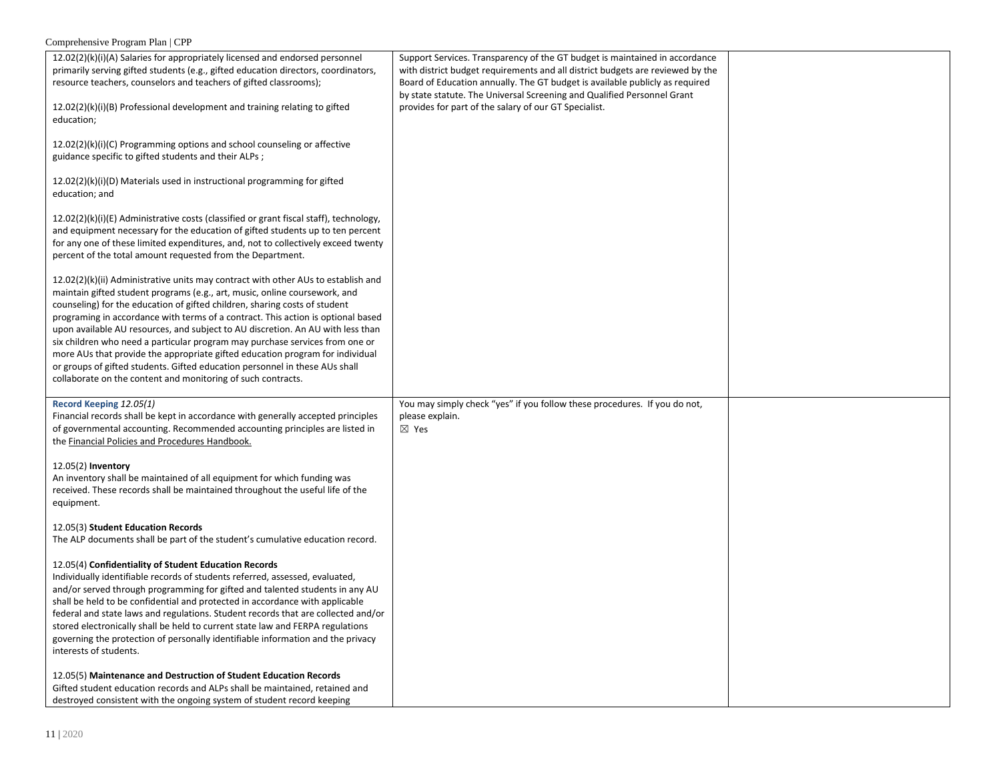| 12.02(2)(k)(i)(A) Salaries for appropriately licensed and endorsed personnel<br>primarily serving gifted students (e.g., gifted education directors, coordinators,<br>resource teachers, counselors and teachers of gifted classrooms);<br>12.02(2)(k)(i)(B) Professional development and training relating to gifted<br>education;                                                                                                                                                                                                                                                                                                                                                                                                  | Support Services. Transparency of the GT budget is maintained in accordance<br>with district budget requirements and all district budgets are reviewed by the<br>Board of Education annually. The GT budget is available publicly as required<br>by state statute. The Universal Screening and Qualified Personnel Grant<br>provides for part of the salary of our GT Specialist. |  |
|--------------------------------------------------------------------------------------------------------------------------------------------------------------------------------------------------------------------------------------------------------------------------------------------------------------------------------------------------------------------------------------------------------------------------------------------------------------------------------------------------------------------------------------------------------------------------------------------------------------------------------------------------------------------------------------------------------------------------------------|-----------------------------------------------------------------------------------------------------------------------------------------------------------------------------------------------------------------------------------------------------------------------------------------------------------------------------------------------------------------------------------|--|
| 12.02(2)(k)(i)(C) Programming options and school counseling or affective<br>guidance specific to gifted students and their ALPs;                                                                                                                                                                                                                                                                                                                                                                                                                                                                                                                                                                                                     |                                                                                                                                                                                                                                                                                                                                                                                   |  |
| 12.02(2)(k)(i)(D) Materials used in instructional programming for gifted<br>education; and                                                                                                                                                                                                                                                                                                                                                                                                                                                                                                                                                                                                                                           |                                                                                                                                                                                                                                                                                                                                                                                   |  |
| 12.02(2)(k)(i)(E) Administrative costs (classified or grant fiscal staff), technology,<br>and equipment necessary for the education of gifted students up to ten percent<br>for any one of these limited expenditures, and, not to collectively exceed twenty<br>percent of the total amount requested from the Department.                                                                                                                                                                                                                                                                                                                                                                                                          |                                                                                                                                                                                                                                                                                                                                                                                   |  |
| 12.02(2)(k)(ii) Administrative units may contract with other AUs to establish and<br>maintain gifted student programs (e.g., art, music, online coursework, and<br>counseling) for the education of gifted children, sharing costs of student<br>programing in accordance with terms of a contract. This action is optional based<br>upon available AU resources, and subject to AU discretion. An AU with less than<br>six children who need a particular program may purchase services from one or<br>more AUs that provide the appropriate gifted education program for individual<br>or groups of gifted students. Gifted education personnel in these AUs shall<br>collaborate on the content and monitoring of such contracts. |                                                                                                                                                                                                                                                                                                                                                                                   |  |
| Record Keeping 12.05(1)<br>Financial records shall be kept in accordance with generally accepted principles<br>of governmental accounting. Recommended accounting principles are listed in<br>the Financial Policies and Procedures Handbook.                                                                                                                                                                                                                                                                                                                                                                                                                                                                                        | You may simply check "yes" if you follow these procedures. If you do not,<br>please explain.<br>$\boxtimes$ Yes                                                                                                                                                                                                                                                                   |  |
| 12.05(2) Inventory<br>An inventory shall be maintained of all equipment for which funding was<br>received. These records shall be maintained throughout the useful life of the<br>equipment.                                                                                                                                                                                                                                                                                                                                                                                                                                                                                                                                         |                                                                                                                                                                                                                                                                                                                                                                                   |  |
| 12.05(3) Student Education Records<br>The ALP documents shall be part of the student's cumulative education record.                                                                                                                                                                                                                                                                                                                                                                                                                                                                                                                                                                                                                  |                                                                                                                                                                                                                                                                                                                                                                                   |  |
| 12.05(4) Confidentiality of Student Education Records<br>Individually identifiable records of students referred, assessed, evaluated,<br>and/or served through programming for gifted and talented students in any AU<br>shall be held to be confidential and protected in accordance with applicable<br>federal and state laws and regulations. Student records that are collected and/or<br>stored electronically shall be held to current state law and FERPA regulations<br>governing the protection of personally identifiable information and the privacy<br>interests of students.                                                                                                                                            |                                                                                                                                                                                                                                                                                                                                                                                   |  |
| 12.05(5) Maintenance and Destruction of Student Education Records<br>Gifted student education records and ALPs shall be maintained, retained and<br>destroyed consistent with the ongoing system of student record keeping                                                                                                                                                                                                                                                                                                                                                                                                                                                                                                           |                                                                                                                                                                                                                                                                                                                                                                                   |  |